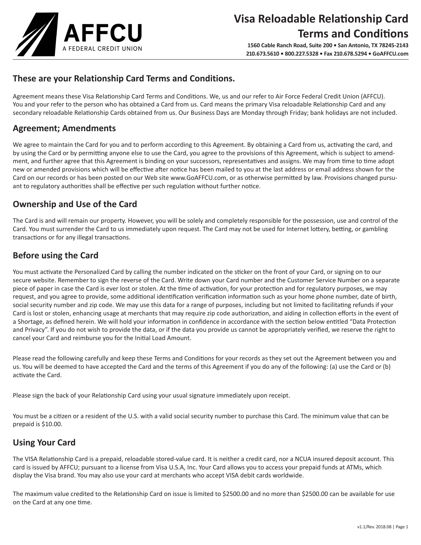

# **These are your Relationship Card Terms and Conditions.**

Agreement means these Visa Relationship Card Terms and Conditions. We, us and our refer to Air Force Federal Credit Union (AFFCU). You and your refer to the person who has obtained a Card from us. Card means the primary Visa reloadable Relationship Card and any secondary reloadable Relationship Cards obtained from us. Our Business Days are Monday through Friday; bank holidays are not included.

# **Agreement; Amendments**

We agree to maintain the Card for you and to perform according to this Agreement. By obtaining a Card from us, activating the card, and by using the Card or by permitting anyone else to use the Card, you agree to the provisions of this Agreement, which is subject to amendment, and further agree that this Agreement is binding on your successors, representatives and assigns. We may from time to time adopt new or amended provisions which will be effective after notice has been mailed to you at the last address or email address shown for the Card on our records or has been posted on our Web site www.GoAFFCU.com, or as otherwise permitted by law. Provisions changed pursuant to regulatory authorities shall be effective per such regulation without further notice.

# **Ownership and Use of the Card**

The Card is and will remain our property. However, you will be solely and completely responsible for the possession, use and control of the Card. You must surrender the Card to us immediately upon request. The Card may not be used for Internet lottery, betting, or gambling transactions or for any illegal transactions.

# **Before using the Card**

You must activate the Personalized Card by calling the number indicated on the sticker on the front of your Card, or signing on to our secure website. Remember to sign the reverse of the Card. Write down your Card number and the Customer Service Number on a separate piece of paper in case the Card is ever lost or stolen. At the time of activation, for your protection and for regulatory purposes, we may request, and you agree to provide, some additional identification verification information such as your home phone number, date of birth, social security number and zip code. We may use this data for a range of purposes, including but not limited to facilitating refunds if your Card is lost or stolen, enhancing usage at merchants that may require zip code authorization, and aiding in collection efforts in the event of a Shortage, as defined herein. We will hold your information in confidence in accordance with the section below entitled "Data Protection and Privacy". If you do not wish to provide the data, or if the data you provide us cannot be appropriately verified, we reserve the right to cancel your Card and reimburse you for the Initial Load Amount.

Please read the following carefully and keep these Terms and Conditions for your records as they set out the Agreement between you and us. You will be deemed to have accepted the Card and the terms of this Agreement if you do any of the following: (a) use the Card or (b) activate the Card.

Please sign the back of your Relationship Card using your usual signature immediately upon receipt.

You must be a citizen or a resident of the U.S. with a valid social security number to purchase this Card. The minimum value that can be prepaid is \$10.00.

# **Using Your Card**

The VISA Relationship Card is a prepaid, reloadable stored-value card. It is neither a credit card, nor a NCUA insured deposit account. This card is issued by AFFCU; pursuant to a license from Visa U.S.A, Inc. Your Card allows you to access your prepaid funds at ATMs, which display the Visa brand. You may also use your card at merchants who accept VISA debit cards worldwide.

The maximum value credited to the Relationship Card on issue is limited to \$2500.00 and no more than \$2500.00 can be available for use on the Card at any one time.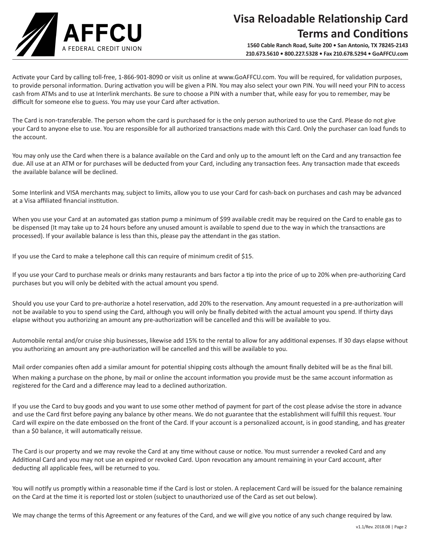

# **Visa Reloadable Relationship Card Terms and Conditions**

**1560 Cable Ranch Road, Suite 200 • San Antonio, TX 78245-2143 210.673.5610 • 800.227.5328 • Fax 210.678.5294 • GoAFFCU.com**

Activate your Card by calling toll-free, 1-866-901-8090 or visit us online at www.GoAFFCU.com. You will be required, for validation purposes, to provide personal information. During activation you will be given a PIN. You may also select your own PIN. You will need your PIN to access cash from ATMs and to use at Interlink merchants. Be sure to choose a PIN with a number that, while easy for you to remember, may be difficult for someone else to guess. You may use your Card after activation.

The Card is non-transferable. The person whom the card is purchased for is the only person authorized to use the Card. Please do not give your Card to anyone else to use. You are responsible for all authorized transactions made with this Card. Only the purchaser can load funds to the account.

You may only use the Card when there is a balance available on the Card and only up to the amount left on the Card and any transaction fee due. All use at an ATM or for purchases will be deducted from your Card, including any transaction fees. Any transaction made that exceeds the available balance will be declined.

Some Interlink and VISA merchants may, subject to limits, allow you to use your Card for cash-back on purchases and cash may be advanced at a Visa affiliated financial institution.

When you use your Card at an automated gas station pump a minimum of \$99 available credit may be required on the Card to enable gas to be dispensed (It may take up to 24 hours before any unused amount is available to spend due to the way in which the transactions are processed). If your available balance is less than this, please pay the attendant in the gas station.

If you use the Card to make a telephone call this can require of minimum credit of \$15.

If you use your Card to purchase meals or drinks many restaurants and bars factor a tip into the price of up to 20% when pre-authorizing Card purchases but you will only be debited with the actual amount you spend.

Should you use your Card to pre-authorize a hotel reservation, add 20% to the reservation. Any amount requested in a pre-authorization will not be available to you to spend using the Card, although you will only be finally debited with the actual amount you spend. If thirty days elapse without you authorizing an amount any pre-authorization will be cancelled and this will be available to you.

Automobile rental and/or cruise ship businesses, likewise add 15% to the rental to allow for any additional expenses. If 30 days elapse without you authorizing an amount any pre-authorization will be cancelled and this will be available to you.

Mail order companies often add a similar amount for potential shipping costs although the amount finally debited will be as the final bill. When making a purchase on the phone, by mail or online the account information you provide must be the same account information as registered for the Card and a difference may lead to a declined authorization.

If you use the Card to buy goods and you want to use some other method of payment for part of the cost please advise the store in advance and use the Card first before paying any balance by other means. We do not guarantee that the establishment will fulfill this request. Your Card will expire on the date embossed on the front of the Card. If your account is a personalized account, is in good standing, and has greater than a \$0 balance, it will automatically reissue.

The Card is our property and we may revoke the Card at any time without cause or notice. You must surrender a revoked Card and any Additional Card and you may not use an expired or revoked Card. Upon revocation any amount remaining in your Card account, after deducting all applicable fees, will be returned to you.

You will notify us promptly within a reasonable time if the Card is lost or stolen. A replacement Card will be issued for the balance remaining on the Card at the time it is reported lost or stolen (subject to unauthorized use of the Card as set out below).

We may change the terms of this Agreement or any features of the Card, and we will give you notice of any such change required by law.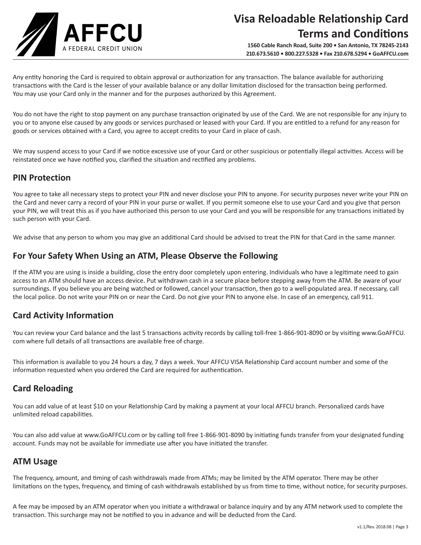

Any entity honoring the Card is required to obtain approval or authorization for any transaction. The balance available for authorizing transactions with the Card is the lesser of your available balance or any dollar limitation disclosed for the transaction being performed. You may use your Card only in the manner and for the purposes authorized by this Agreement.

You do not have the right to stop payment on any purchase transaction originated by use of the Card. We are not responsible for any injury to you or to anyone else caused by any goods or services purchased or leased with your Card. If you are entitled to a refund for any reason for goods or services obtained with a Card, you agree to accept credits to your Card in place of cash.

We may suspend access to your Card if we notice excessive use of your Card or other suspicious or potentially illegal activities. Access will be reinstated once we have notified you, clarified the situation and rectified any problems.

# **PIN Protection**

You agree to take all necessary steps to protect your PIN and never disclose your PIN to anyone. For security purposes never write your PIN on the Card and never carry a record of your PIN in your purse or wallet. If you permit someone else to use your Card and you give that person your PIN, we will treat this as if you have authorized this person to use your Card and you will be responsible for any transactions initiated by such person with your Card.

We advise that any person to whom you may give an additional Card should be advised to treat the PIN for that Card in the same manner.

### **For Your Safety When Using an ATM, Please Observe the Following**

If the ATM you are using is inside a building, close the entry door completely upon entering. Individuals who have a legitimate need to gain access to an ATM should have an access device. Put withdrawn cash in a secure place before stepping away from the ATM. Be aware of your surroundings. If you believe you are being watched or followed, cancel your transaction, then go to a well-populated area. If necessary, call the local police. Do not write your PIN on or near the Card. Do not give your PIN to anyone else. In case of an emergency, call 911.

# **Card Activity Information**

You can review your Card balance and the last 5 transactions activity records by calling toll-free 1-866-901-8090 or by visiting www.GoAFFCU. com where full details of all transactions are available free of charge.

This information is available to you 24 hours a day, 7 days a week. Your AFFCU VISA Relationship Card account number and some of the information requested when you ordered the Card are required for authentication.

# **Card Reloading**

You can add value of at least \$10 on your Relationship Card by making a payment at your local AFFCU branch. Personalized cards have unlimited reload capabilities.

You can also add value at www.GoAFFCU.com or by calling toll free 1-866-901-8090 by initiating funds transfer from your designated funding account. Funds may not be available for immediate use after you have initiated the transfer.

### **ATM Usage**

The frequency, amount, and timing of cash withdrawals made from ATMs; may be limited by the ATM operator. There may be other limitations on the types, frequency, and timing of cash withdrawals established by us from time to time, without notice, for security purposes.

A fee may be imposed by an ATM operator when you initiate a withdrawal or balance inquiry and by any ATM network used to complete the transaction. This surcharge may not be notified to you in advance and will be deducted from the Card.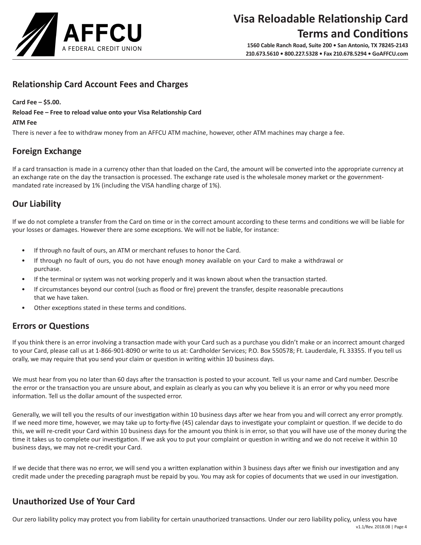

# **Relationship Card Account Fees and Charges**

#### **Card Fee – \$5.00.**

**Reload Fee – Free to reload value onto your Visa Relationship Card**

#### **ATM Fee**

There is never a fee to withdraw money from an AFFCU ATM machine, however, other ATM machines may charge a fee.

# **Foreign Exchange**

If a card transaction is made in a currency other than that loaded on the Card, the amount will be converted into the appropriate currency at an exchange rate on the day the transaction is processed. The exchange rate used is the wholesale money market or the governmentmandated rate increased by 1% (including the VISA handling charge of 1%).

# **Our Liability**

If we do not complete a transfer from the Card on time or in the correct amount according to these terms and conditions we will be liable for your losses or damages. However there are some exceptions. We will not be liable, for instance:

- If through no fault of ours, an ATM or merchant refuses to honor the Card.
- If through no fault of ours, you do not have enough money available on your Card to make a withdrawal or purchase.
- If the terminal or system was not working properly and it was known about when the transaction started.
- If circumstances beyond our control (such as flood or fire) prevent the transfer, despite reasonable precautions that we have taken.
- Other exceptions stated in these terms and conditions.

# **Errors or Questions**

If you think there is an error involving a transaction made with your Card such as a purchase you didn't make or an incorrect amount charged to your Card, please call us at 1-866-901-8090 or write to us at: Cardholder Services; P.O. Box 550578; Ft. Lauderdale, FL 33355. If you tell us orally, we may require that you send your claim or question in writing within 10 business days.

We must hear from you no later than 60 days after the transaction is posted to your account. Tell us your name and Card number. Describe the error or the transaction you are unsure about, and explain as clearly as you can why you believe it is an error or why you need more information. Tell us the dollar amount of the suspected error.

Generally, we will tell you the results of our investigation within 10 business days after we hear from you and will correct any error promptly. If we need more time, however, we may take up to forty-five (45) calendar days to investigate your complaint or question. If we decide to do this, we will re-credit your Card within 10 business days for the amount you think is in error, so that you will have use of the money during the time it takes us to complete our investigation. If we ask you to put your complaint or question in writing and we do not receive it within 10 business days, we may not re-credit your Card.

If we decide that there was no error, we will send you a written explanation within 3 business days after we finish our investigation and any credit made under the preceding paragraph must be repaid by you. You may ask for copies of documents that we used in our investigation.

# **Unauthorized Use of Your Card**

 v1.1/Rev. 2018.08 | Page 4 Our zero liability policy may protect you from liability for certain unauthorized transactions. Under our zero liability policy, unless you have